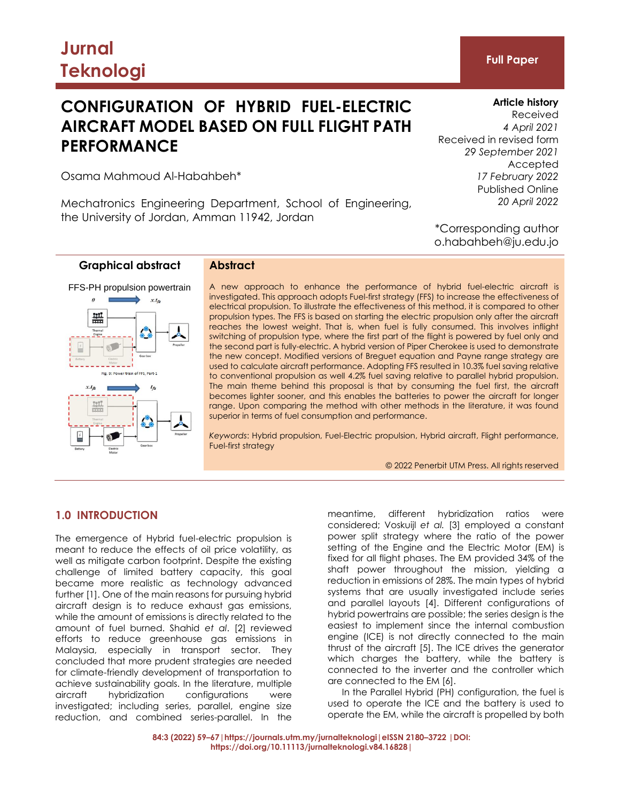# **CONFIGURATION OF HYBRID FUEL-ELECTRIC AIRCRAFT MODEL BASED ON FULL FLIGHT PATH PERFORMANCE**

**Article history** Received *4 April 2021* Received in revised form *29 September 2021* Accepted *17 February 2022* Published Online *20 April 2022*

\*Corresponding author o.habahbeh@ju.edu.jo

Osama Mahmoud Al-Habahbeh\*

Mechatronics Engineering Department, School of Engineering, the University of Jordan, Amman 11942, Jordan

## **Graphical abstract**



#### **Abstract**

A new approach to enhance the performance of hybrid fuel-electric aircraft is investigated. This approach adopts Fuel-first strategy (FFS) to increase the effectiveness of electrical propulsion. To illustrate the effectiveness of this method, it is compared to other propulsion types. The FFS is based on starting the electric propulsion only after the aircraft reaches the lowest weight. That is, when fuel is fully consumed. This involves inflight switching of propulsion type, where the first part of the flight is powered by fuel only and the second part is fully-electric. A hybrid version of Piper Cherokee is used to demonstrate the new concept. Modified versions of Breguet equation and Payne range strategy are used to calculate aircraft performance. Adopting FFS resulted in 10.3% fuel saving relative to conventional propulsion as well 4.2% fuel saving relative to parallel hybrid propulsion. The main theme behind this proposal is that by consuming the fuel first, the aircraft becomes lighter sooner, and this enables the batteries to power the aircraft for longer range. Upon comparing the method with other methods in the literature, it was found superior in terms of fuel consumption and performance.

*Keywords*: Hybrid propulsion, Fuel-Electric propulsion, Hybrid aircraft, Flight performance, Fuel-first strategy

© 2022 Penerbit UTM Press. All rights reserved

## **1.0 INTRODUCTION**

The emergence of Hybrid fuel-electric propulsion is meant to reduce the effects of oil price volatility, as well as mitigate carbon footprint. Despite the existing challenge of limited battery capacity, this goal became more realistic as technology advanced further [1]. One of the main reasons for pursuing hybrid aircraft design is to reduce exhaust gas emissions, while the amount of emissions is directly related to the amount of fuel burned. Shahid *et al*. [2] reviewed efforts to reduce greenhouse gas emissions in Malaysia, especially in transport sector. They concluded that more prudent strategies are needed for climate-friendly development of transportation to achieve sustainability goals. In the literature, multiple aircraft hybridization configurations were investigated; including series, parallel, engine size reduction, and combined series-parallel. In the

meantime, different hybridization ratios were considered; Voskuijl *et al.* [3] employed a constant power split strategy where the ratio of the power setting of the Engine and the Electric Motor (EM) is fixed for all flight phases. The EM provided 34% of the shaft power throughout the mission, yielding a reduction in emissions of 28%. The main types of hybrid systems that are usually investigated include series and parallel layouts [4]. Different configurations of hybrid powertrains are possible; the series design is the easiest to implement since the internal combustion engine (ICE) is not directly connected to the main thrust of the aircraft [5]. The ICE drives the generator which charges the battery, while the battery is connected to the inverter and the controller which are connected to the EM [6].

In the Parallel Hybrid (PH) configuration, the fuel is used to operate the ICE and the battery is used to operate the EM, while the aircraft is propelled by both

**84:3 (2022) 59–67|https://journals.utm.my/jurnalteknologi|eISSN 2180–3722 |DOI: https://doi.org/10.11113/jurnalteknologi.v84.16828|**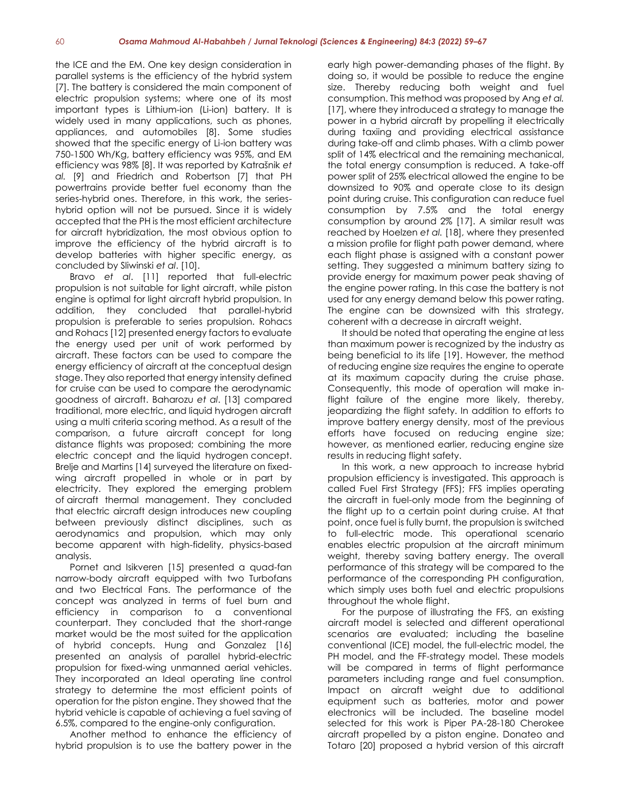the ICE and the EM. One key design consideration in parallel systems is the efficiency of the hybrid system [7]. The battery is considered the main component of electric propulsion systems; where one of its most important types is Lithium-ion (Li-ion) battery. It is widely used in many applications, such as phones, appliances, and automobiles [8]. Some studies showed that the specific energy of Li-ion battery was 750-1500 Wh/Kg, battery efficiency was 95%, and EM efficiency was 98% [8]. It was reported by Katrašnik *et al.* [9] and Friedrich and Robertson [7] that PH powertrains provide better fuel economy than the series-hybrid ones. Therefore, in this work, the serieshybrid option will not be pursued. Since it is widely accepted that the PH is the most efficient architecture for aircraft hybridization, the most obvious option to improve the efficiency of the hybrid aircraft is to develop batteries with higher specific energy, as concluded by Sliwinski *et al*. [10].

Bravo *et al*. [11] reported that full-electric propulsion is not suitable for light aircraft, while piston engine is optimal for light aircraft hybrid propulsion. In addition, they concluded that parallel-hybrid propulsion is preferable to series propulsion. [Rohacs](https://www.sciencedirect.com/science/article/abs/pii/S0360544219320869#!) an[d Rohacs](https://www.sciencedirect.com/science/article/abs/pii/S0360544219320869#!) [12] presented energy factors to evaluate the energy used per unit of work performed by aircraft. These factors can be used to compare the energy efficiency of aircraft at the conceptual design stage. They also reported that energy intensity defined for cruise can be used to compare the aerodynamic goodness of aircraft. [Baharozu](https://www.sciencedirect.com/science/article/abs/pii/S036054421731513X#!) *et al*. [13] compared traditional, more electric, and liquid hydrogen aircraft using a multi criteria scoring method. As a result of the comparison, a future aircraft concept for long distance flights was proposed; combining the more electric concept and the liquid hydrogen concept. [Brelje](https://www.sciencedirect.com/science/article/abs/pii/S0376042118300356#!) an[d Martins](https://www.sciencedirect.com/science/article/abs/pii/S0376042118300356#!) [14] surveyed the literature on fixedwing aircraft propelled in whole or in part by electricity. They explored the emerging problem of aircraft thermal management. They concluded that electric aircraft design introduces new coupling between previously distinct disciplines, such as aerodynamics and propulsion, which may only become apparent with high-fidelity, physics-based analysis.

[Pornet](https://www.sciencedirect.com/science/article/abs/pii/S0376042115300130#!) and [Isikveren](https://www.sciencedirect.com/science/article/abs/pii/S0376042115300130#!) [15] presented a quad-fan narrow-body aircraft equipped with two Turbofans and two Electrical Fans. The performance of the concept was analyzed in terms of fuel burn and efficiency in comparison to a conventional counterpart. They concluded that the short-range market would be the most suited for the application of hybrid concepts. [Hung](https://www.sciencedirect.com/science/article/abs/pii/S0376042112000097#!) and [Gonzalez](https://www.sciencedirect.com/science/article/abs/pii/S0376042112000097#!) [16] presented an analysis of parallel hybrid-electric propulsion for fixed-wing unmanned aerial vehicles. They incorporated an Ideal operating line control strategy to determine the most efficient points of operation for the piston engine. They showed that the hybrid vehicle is capable of achieving a fuel saving of 6.5%, compared to the engine-only configuration.

Another method to enhance the efficiency of hybrid propulsion is to use the battery power in the

early high power-demanding phases of the flight. By doing so, it would be possible to reduce the engine size. Thereby reducing both weight and fuel consumption. This method was proposed by Ang *et al.* [17], where they introduced a strategy to manage the power in a hybrid aircraft by propelling it electrically during taxiing and providing electrical assistance during take-off and climb phases. With a climb power split of 14% electrical and the remaining mechanical, the total energy consumption is reduced. A take-off power split of 25% electrical allowed the engine to be downsized to 90% and operate close to its design point during cruise. This configuration can reduce fuel consumption by 7.5% and the total energy consumption by around 2% [17]. A similar result was reached by Hoelzen *et al.* [18], where they presented a mission profile for flight path power demand, where each flight phase is assigned with a constant power setting. They suggested a minimum battery sizing to provide energy for maximum power peak shaving of the engine power rating. In this case the battery is not used for any energy demand below this power rating. The engine can be downsized with this strategy, coherent with a decrease in aircraft weight.

It should be noted that operating the engine at less than maximum power is recognized by the industry as being beneficial to its life [19]. However, the method of reducing engine size requires the engine to operate at its maximum capacity during the cruise phase. Consequently, this mode of operation will make inflight failure of the engine more likely, thereby, jeopardizing the flight safety. In addition to efforts to improve battery energy density, most of the previous efforts have focused on reducing engine size; however, as mentioned earlier, reducing engine size results in reducing flight safety.

In this work, a new approach to increase hybrid propulsion efficiency is investigated. This approach is called Fuel First Strategy (FFS); FFS implies operating the aircraft in fuel-only mode from the beginning of the flight up to a certain point during cruise. At that point, once fuel is fully burnt, the propulsion is switched to full-electric mode. This operational scenario enables electric propulsion at the aircraft minimum weight, thereby saving battery energy. The overall performance of this strategy will be compared to the performance of the corresponding PH configuration, which simply uses both fuel and electric propulsions throughout the whole flight.

For the purpose of illustrating the FFS, an existing aircraft model is selected and different operational scenarios are evaluated; including the baseline conventional (ICE) model, the full-electric model, the PH model, and the FF-strategy model. These models will be compared in terms of flight performance parameters including range and fuel consumption. Impact on aircraft weight due to additional equipment such as batteries, motor and power electronics will be included. The baseline model selected for this work is Piper PA-28-180 Cherokee aircraft propelled by a piston engine. Donateo and Totaro [20] proposed a hybrid version of this aircraft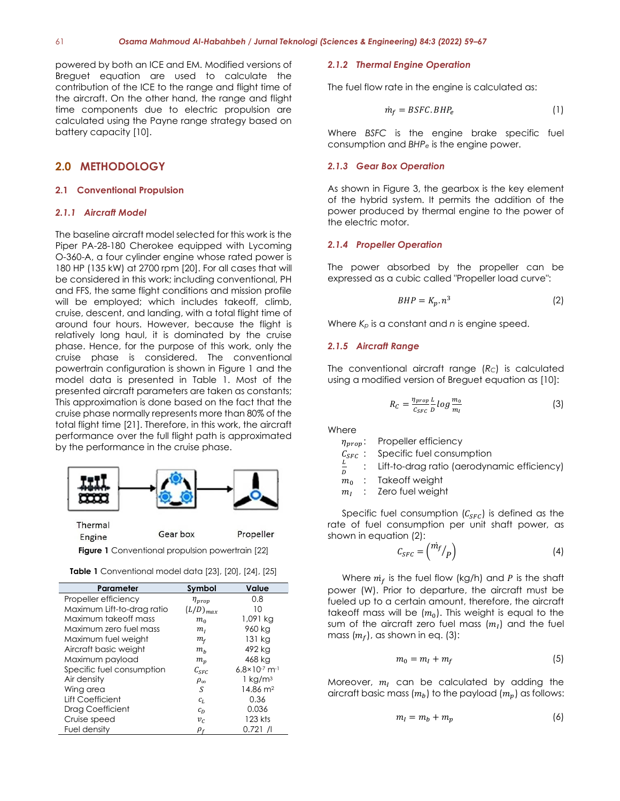powered by both an ICE and EM. Modified versions of Breguet equation are used to calculate the contribution of the ICE to the range and flight time of the aircraft. On the other hand, the range and flight time components due to electric propulsion are calculated using the Payne range strategy based on battery capacity [10].

### **2.0 METHODOLOGY**

#### **2.1 Conventional Propulsion**

#### *2.1.1 Aircraft Model*

The baseline aircraft model selected for this work is the Piper PA-28-180 Cherokee equipped with Lycoming O-360-A, a four cylinder engine whose rated power is 180 HP (135 kW) at 2700 rpm [20]. For all cases that will be considered in this work; including conventional, PH and FFS, the same flight conditions and mission profile will be employed; which includes takeoff, climb, cruise, descent, and landing, with a total flight time of around four hours. However, because the flight is relatively long haul, it is dominated by the cruise phase. Hence, for the purpose of this work, only the cruise phase is considered. The conventional powertrain configuration is shown in Figure 1 and the model data is presented in Table 1. Most of the presented aircraft parameters are taken as constants; This approximation is done based on the fact that the cruise phase normally represents more than 80% of the total flight time [21]. Therefore, in this work, the aircraft performance over the full flight path is approximated by the performance in the cruise phase.



**Figure 1** Conventional propulsion powertrain [22]

|  | <b>Table 1</b> Conventional model data [23], [20], [24], [25] |  |  |  |  |  |
|--|---------------------------------------------------------------|--|--|--|--|--|
|--|---------------------------------------------------------------|--|--|--|--|--|

| Parameter                  | Symbol          | Value                                |
|----------------------------|-----------------|--------------------------------------|
|                            |                 |                                      |
| Propeller efficiency       | $\eta_{prop}$   | 0.8                                  |
| Maximum Lift-to-drag ratio | $(L/D)_{max}$   | 10                                   |
| Maximum takeoff mass       | $m_{\alpha}$    | 1,091 kg                             |
| Maximum zero fuel mass     | $m_I$           | 960 kg                               |
| Maximum fuel weight        | $m_f$           | 131 kg                               |
| Aircraft basic weight      | $m_h$           | 492 kg                               |
| Maximum payload            | $m_n$           | 468 kg                               |
| Specific fuel consumption  | $C_{SFC}$       | $6.8 \times 10^{-7}$ m <sup>-1</sup> |
| Air density                | $\rho_{\infty}$ | 1 kg/m <sup>3</sup>                  |
| Wing area                  | S               | 14.86 m <sup>2</sup>                 |
| Lift Coefficient           | $c_{L}$         | 0.36                                 |
| Drag Coefficient           | $c_D$           | 0.036                                |
| Cruise speed               | $v_c$           | 123 kts                              |
| Fuel density               | $\rho_f$        | $0.721$ /I                           |

#### *2.1.2 Thermal Engine Operation*

The fuel flow rate in the engine is calculated as:

$$
\dot{m}_f = BSFC.BHP_e \tag{1}
$$

Where *BSFC* is the engine brake specific fuel consumption and *BHP<sup>e</sup>* is the engine power.

#### *2.1.3 Gear Box Operation*

As shown in Figure 3, the gearbox is the key element of the hybrid system. It permits the addition of the power produced by thermal engine to the power of the electric motor.

#### *2.1.4 Propeller Operation*

The power absorbed by the propeller can be expressed as a cubic called "Propeller load curve":

$$
BHP = K_p \cdot n^3 \tag{2}
$$

Where *K<sup>p</sup>* is a constant and *n* is engine speed.

#### *2.1.5 Aircraft Range*

The conventional aircraft range (*RC*) is calculated using a modified version of Breguet equation as [10]:

$$
R_C = \frac{\eta_{prop}}{c_{SFC}} \frac{L}{D} \log \frac{m_0}{m_I} \tag{3}
$$

**Where** 

 $\eta_{prop}$ : Propeller efficiency

 $C_{SFC}$ : Specific fuel consumption

L D : Lift-to-drag ratio (aerodynamic efficiency)

 $m_0$  : Takeoff weight

 $m<sub>r</sub>$ : Zero fuel weight

Specific fuel consumption  $(C_{SFC})$  is defined as the rate of fuel consumption per unit shaft power, as shown in equation (2):

$$
C_{SFC} = \binom{m_f}{P} \tag{4}
$$

Where  $m_f$  is the fuel flow (kg/h) and P is the shaft power (W). Prior to departure, the aircraft must be fueled up to a certain amount, therefore, the aircraft takeoff mass will be  $(m_0)$ . This weight is equal to the sum of the aircraft zero fuel mass  $\{m_I\}$  and the fuel mass  $(m_f)$ , as shown in eq. (3):

$$
m_0 = m_I + m_f \tag{5}
$$

Moreover,  $m_l$  can be calculated by adding the aircraft basic mass  $(m_h)$  to the payload  $(m_n)$  as follows:

$$
m_l = m_b + m_p \tag{6}
$$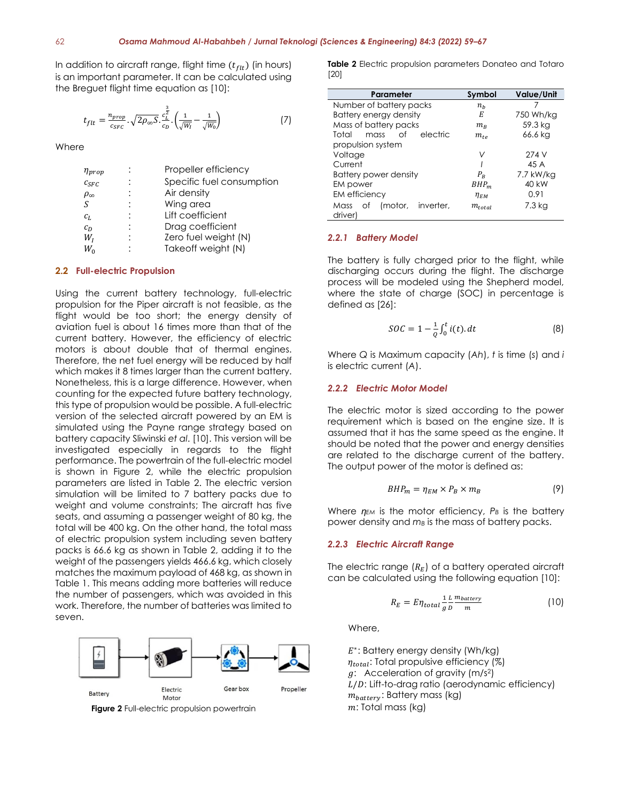In addition to aircraft range, flight time  $(t_{\text{fit}})$  (in hours) is an important parameter. It can be calculated using the Breguet flight time equation as [10]:

$$
t_{filt} = \frac{n_{prop}}{c_{SFC}} \cdot \sqrt{2\rho_{\infty}S} \cdot \frac{c_L^{\frac{3}{2}}}{c_D} \cdot \left(\frac{1}{\sqrt{W_I}} - \frac{1}{\sqrt{W_0}}\right) \tag{7}
$$

**Where** 

| $\eta_{prop}$   | Propeller efficiency      |
|-----------------|---------------------------|
| $c_{SFC}$       | Specific fuel consumption |
| $\rho_{\infty}$ | Air density               |
| S               | Wing area                 |
| $c_{L}$         | Lift coefficient          |
| $c_D$           | Drag coefficient          |
| $W_{I}$         | Zero fuel weight (N)      |
| $W_{0}$         | Takeoff weight (N)        |
|                 |                           |

#### **2.2 Full-electric Propulsion**

Using the current battery technology, full-electric propulsion for the Piper aircraft is not feasible, as the flight would be too short; the energy density of aviation fuel is about 16 times more than that of the current battery. However, the efficiency of electric motors is about double that of thermal engines. Therefore, the net fuel energy will be reduced by half which makes it 8 times larger than the current battery. Nonetheless, this is a large difference. However, when counting for the expected future battery technology, this type of propulsion would be possible. A full-electric version of the selected aircraft powered by an EM is simulated using the Payne range strategy based on battery capacity Sliwinski *et al*. [10]. This version will be investigated especially in regards to the flight performance. The powertrain of the full-electric model is shown in Figure 2, while the electric propulsion parameters are listed in Table 2. The electric version simulation will be limited to 7 battery packs due to weight and volume constraints; The aircraft has five seats, and assuming a passenger weight of 80 kg, the total will be 400 kg. On the other hand, the total mass of electric propulsion system including seven battery packs is 66.6 kg as shown in Table 2, adding it to the weight of the passengers yields 466.6 kg, which closely matches the maximum payload of 468 kg, as shown in Table 1. This means adding more batteries will reduce the number of passengers, which was avoided in this work. Therefore, the number of batteries was limited to seven.



**Figure 2** Full-electric propulsion powertrain

**Table 2** Electric propulsion parameters Donateo and Totaro [20]

| Parameter                               | Symbol      | Value/Unit |
|-----------------------------------------|-------------|------------|
| Number of battery packs                 | $n_h$       |            |
| Battery energy density                  | Е           | 750 Wh/kg  |
| Mass of battery packs                   | $m_{\rm B}$ | 59.3 kg    |
| electric<br>Total<br>Ωf<br>mass         | $m_{t\rho}$ | 66.6 kg    |
| propulsion system                       |             |            |
| Voltage                                 | ν           | 274 V      |
| Current                                 |             | 45 A       |
| Battery power density                   | $P_{B}$     | 7.7 kW/kg  |
| EM power                                | $BHP_m$     | 40 kW      |
| <b>EM</b> efficiency                    | $\eta_{EM}$ | 0.91       |
| Mass of<br>(motor, inverter,<br>driver) | $m_{total}$ | 7.3 kg     |

#### *2.2.1 Battery Model*

The battery is fully charged prior to the flight, while discharging occurs during the flight. The discharge process will be modeled using the Shepherd model, where the state of charge (SOC) in percentage is defined as [26]:

$$
SOC = 1 - \frac{1}{Q} \int_0^t i(t) \, dt \tag{8}
$$

Where *Q* is Maximum capacity (*Ah*), *t* is time (*s*) and *i* is electric current (*A*).

#### *2.2.2 Electric Motor Model*

The electric motor is sized according to the power requirement which is based on the engine size. It is assumed that it has the same speed as the engine. It should be noted that the power and energy densities are related to the discharge current of the battery. The output power of the motor is defined as:

$$
BHP_m = \eta_{EM} \times P_B \times m_B \tag{9}
$$

Where  $\eta_{EM}$  is the motor efficiency,  $P_B$  is the battery power density and *m<sup>B</sup>* is the mass of battery packs.

#### *2.2.3 Electric Aircraft Range*

The electric range  $(R_E)$  of a battery operated aircraft can be calculated using the following equation [10]:

$$
R_E = E \eta_{total} \frac{1}{g} \frac{L}{D} \frac{m_{battery}}{m}
$$
 (10)

Where,

E<sup>\*</sup>: Battery energy density (Wh/kg)  $\eta_{total}$ : Total propulsive efficiency (%)  $g$ : Acceleration of gravity (m/s<sup>2</sup>)  $L/D$ : Lift-to-drag ratio (aerodynamic efficiency)  $m_{battery}$ : Battery mass (kg)  $m$ : Total mass (kg)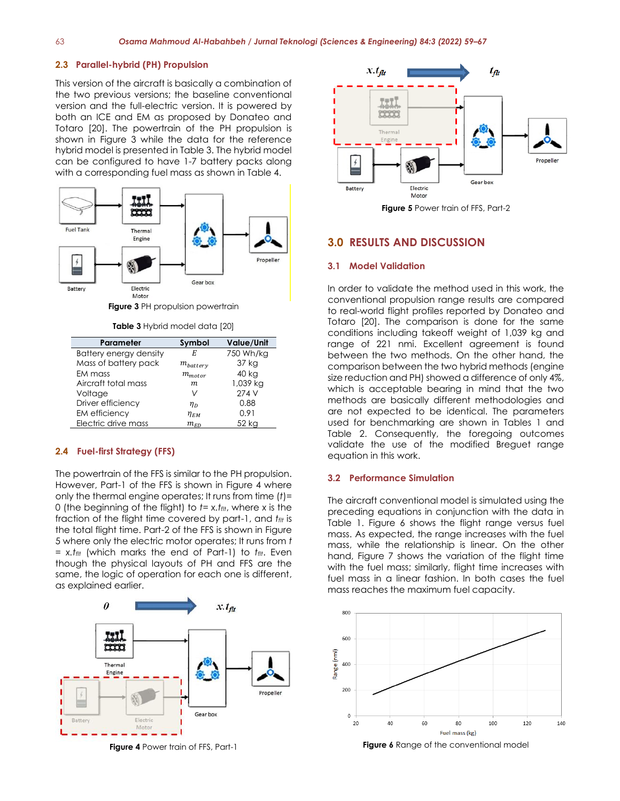#### **2.3 Parallel-hybrid (PH) Propulsion**

This version of the aircraft is basically a combination of the two previous versions; the baseline conventional version and the full-electric version. It is powered by both an ICE and EM as proposed by Donateo and Totaro [20]. The powertrain of the PH propulsion is shown in Figure 3 while the data for the reference hybrid model is presented in Table 3. The hybrid model can be configured to have 1-7 battery packs along with a corresponding fuel mass as shown in Table 4.



**Table 3** Hybrid model data [20]

| Parameter                     | Symbol                          | Value/Unit |
|-------------------------------|---------------------------------|------------|
| <b>Battery energy density</b> | E                               | 750 Wh/kg  |
| Mass of battery pack          | $m_{batterv}$                   | 37 kg      |
| EM mass                       | $m_{motor}$                     | 40 kg      |
| Aircraft total mass           | m                               | 1,039 kg   |
| Voltage                       | V                               | 274 V      |
| Driver efficiency             | $\eta_{D}$                      | 0.88       |
| EM efficiency                 | $\eta_{\scriptscriptstyle{EM}}$ | 0.91       |
| Electric drive mass           | $m_{ED}$                        | 52 ka      |

#### **2.4 Fuel-first Strategy (FFS)**

The powertrain of the FFS is similar to the PH propulsion. However, Part-1 of the FFS is shown in Figure 4 where only the thermal engine operates; It runs from time (*t*)= 0 (the beginning of the flight) to *t*= *x.tflt*, where *x* is the fraction of the flight time covered by part-1, and *tflt* is the total flight time. Part-2 of the FFS is shown in Figure 5 where only the electric motor operates; It runs from *t* = *x.tflt* (which marks the end of Part-1) to *tflt*. Even though the physical layouts of PH and FFS are the same, the logic of operation for each one is different, as explained earlier.





**Figure 5** Power train of FFS, Part-2

#### **3.0 RESULTS AND DISCUSSION**

#### **3.1 Model Validation**

In order to validate the method used in this work, the conventional propulsion range results are compared to real-world flight profiles reported by Donateo and Totaro [20]. The comparison is done for the same conditions including takeoff weight of 1,039 kg and range of 221 nmi. Excellent agreement is found between the two methods. On the other hand, the comparison between the two hybrid methods (engine size reduction and PH) showed a difference of only 4%, which is acceptable bearing in mind that the two methods are basically different methodologies and are not expected to be identical. The parameters used for benchmarking are shown in Tables 1 and Table 2. Consequently, the foregoing outcomes validate the use of the modified Breguet range equation in this work.

#### **3.2 Performance Simulation**

The aircraft conventional model is simulated using the preceding equations in conjunction with the data in Table 1. Figure 6 shows the flight range versus fuel mass. As expected, the range increases with the fuel mass, while the relationship is linear. On the other hand, Figure 7 shows the variation of the flight time with the fuel mass; similarly, flight time increases with fuel mass in a linear fashion. In both cases the fuel mass reaches the maximum fuel capacity.



**Figure 6** Range of the conventional model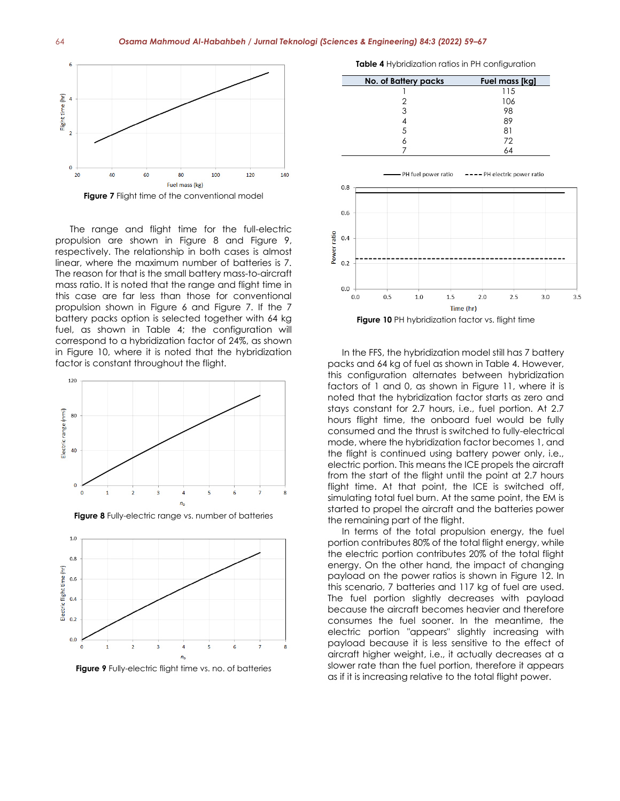

The range and flight time for the full-electric propulsion are shown in Figure 8 and Figure 9, respectively. The relationship in both cases is almost linear, where the maximum number of batteries is 7. The reason for that is the small battery mass-to-aircraft mass ratio. It is noted that the range and flight time in this case are far less than those for conventional propulsion shown in Figure 6 and Figure 7. If the 7 battery packs option is selected together with 64 kg fuel, as shown in Table 4; the configuration will correspond to a hybridization factor of 24%, as shown in Figure 10, where it is noted that the hybridization factor is constant throughout the flight.



**Figure 9** Fully-electric flight time vs. no. of batteries

4

6

 $\overline{\mathbf{3}}$ 

 $\overline{2}$ 

 $0.0$ 

**Table 4** Hybridization ratios in PH configuration



In the FFS, the hybridization model still has 7 battery packs and 64 kg of fuel as shown in Table 4. However, this configuration alternates between hybridization factors of 1 and 0, as shown in Figure 11, where it is noted that the hybridization factor starts as zero and stays constant for 2.7 hours, i.e., fuel portion. At 2.7 hours flight time, the onboard fuel would be fully consumed and the thrust is switched to fully-electrical mode, where the hybridization factor becomes 1, and the flight is continued using battery power only, i.e., electric portion. This means the ICE propels the aircraft from the start of the flight until the point at 2.7 hours flight time. At that point, the ICE is switched off, simulating total fuel burn. At the same point, the EM is started to propel the aircraft and the batteries power the remaining part of the flight.

In terms of the total propulsion energy, the fuel portion contributes 80% of the total flight energy, while the electric portion contributes 20% of the total flight energy. On the other hand, the impact of changing payload on the power ratios is shown in Figure 12. In this scenario, 7 batteries and 117 kg of fuel are used. The fuel portion slightly decreases with payload because the aircraft becomes heavier and therefore consumes the fuel sooner. In the meantime, the electric portion "appears" slightly increasing with payload because it is less sensitive to the effect of aircraft higher weight, i.e., it actually decreases at a slower rate than the fuel portion, therefore it appears as if it is increasing relative to the total flight power.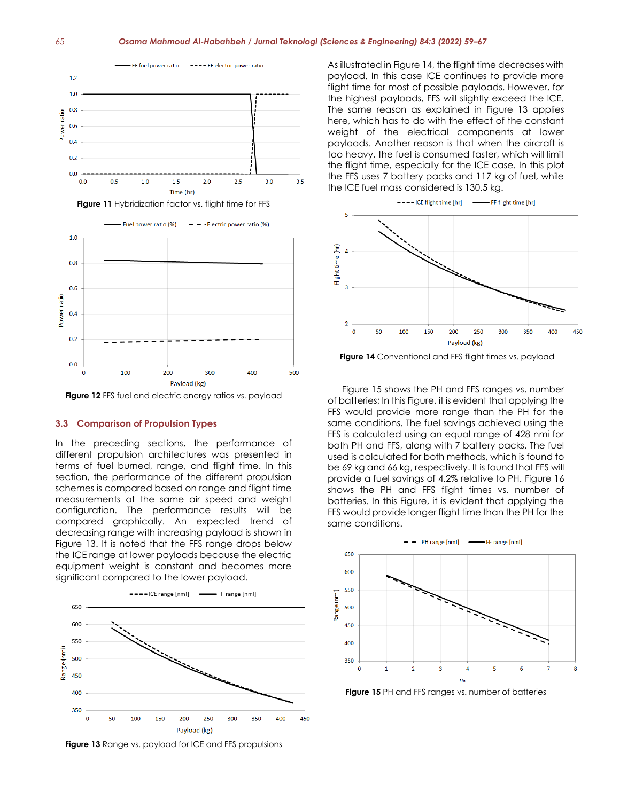#### 65 *Osama Mahmoud Al-Habahbeh / Jurnal Teknologi (Sciences & Engineering) 84:3 (2022) 59–67*



**Figure 12** FFS fuel and electric energy ratios vs. payload

Pavload (kg)

300

 $400$ 

500

 $200$ 

#### **3.3 Comparison of Propulsion Types**

 $100$ 

 $\Omega$ 

In the preceding sections, the performance of different propulsion architectures was presented in terms of fuel burned, range, and flight time. In this section, the performance of the different propulsion schemes is compared based on range and flight time measurements at the same air speed and weight configuration. The performance results will be compared graphically. An expected trend of decreasing range with increasing payload is shown in Figure 13. It is noted that the FFS range drops below the ICE range at lower payloads because the electric equipment weight is constant and becomes more significant compared to the lower payload.



**Figure 13** Range vs. payload for ICE and FFS propulsions

As illustrated in Figure 14, the flight time decreases with payload. In this case ICE continues to provide more flight time for most of possible payloads. However, for the highest payloads, FFS will slightly exceed the ICE. The same reason as explained in Figure 13 applies here, which has to do with the effect of the constant weight of the electrical components at lower payloads. Another reason is that when the aircraft is too heavy, the fuel is consumed faster, which will limit the flight time, especially for the ICE case. In this plot the FFS uses 7 battery packs and 117 kg of fuel, while the ICE fuel mass considered is 130.5 kg.



**Figure 14** Conventional and FFS flight times vs. payload

Figure 15 shows the PH and FFS ranges vs. number of batteries; In this Figure, it is evident that applying the FFS would provide more range than the PH for the same conditions. The fuel savings achieved using the FFS is calculated using an equal range of 428 nmi for both PH and FFS, along with 7 battery packs. The fuel used is calculated for both methods, which is found to be 69 kg and 66 kg, respectively. It is found that FFS will provide a fuel savings of 4.2% relative to PH. Figure 16 shows the PH and FFS flight times vs. number of batteries. In this Figure, it is evident that applying the FFS would provide longer flight time than the PH for the same conditions.



**Figure 15** PH and FFS ranges vs. number of batteries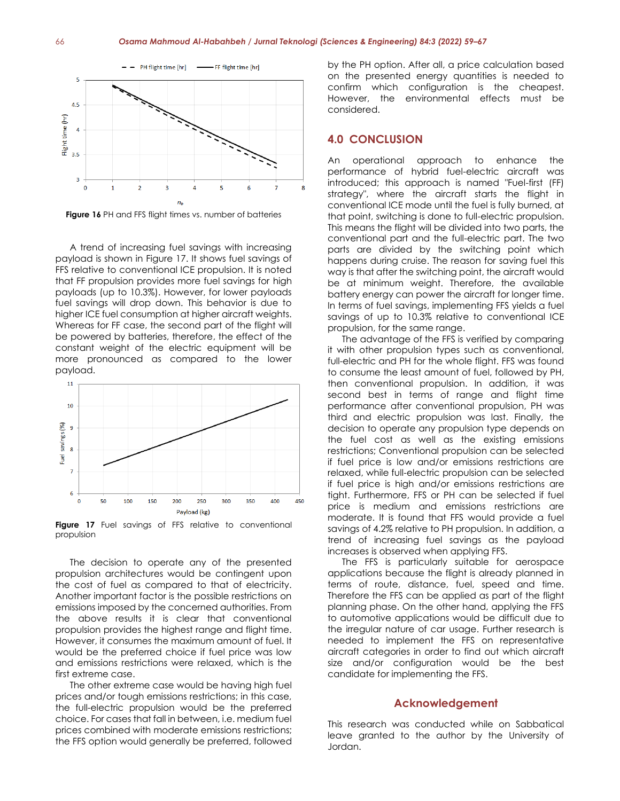

**Figure 16** PH and FFS flight times vs. number of batteries

A trend of increasing fuel savings with increasing payload is shown in Figure 17. It shows fuel savings of FFS relative to conventional ICE propulsion. It is noted that FF propulsion provides more fuel savings for high payloads (up to 10.3%). However, for lower payloads fuel savings will drop down. This behavior is due to higher ICE fuel consumption at higher aircraft weights. Whereas for FF case, the second part of the flight will be powered by batteries, therefore, the effect of the constant weight of the electric equipment will be more pronounced as compared to the lower payload.



**Figure 17** Fuel savings of FFS relative to conventional propulsion

The decision to operate any of the presented propulsion architectures would be contingent upon the cost of fuel as compared to that of electricity. Another important factor is the possible restrictions on emissions imposed by the concerned authorities. From the above results it is clear that conventional propulsion provides the highest range and flight time. However, it consumes the maximum amount of fuel. It would be the preferred choice if fuel price was low and emissions restrictions were relaxed, which is the first extreme case.

The other extreme case would be having high fuel prices and/or tough emissions restrictions; in this case, the full-electric propulsion would be the preferred choice. For cases that fall in between, i.e. medium fuel prices combined with moderate emissions restrictions; the FFS option would generally be preferred, followed

by the PH option. After all, a price calculation based on the presented energy quantities is needed to confirm which configuration is the cheapest. However, the environmental effects must be considered.

### **4.0 CONCLUSION**

An operational approach to enhance the performance of hybrid fuel-electric aircraft was introduced; this approach is named "Fuel-first (FF) strategy", where the aircraft starts the flight in conventional ICE mode until the fuel is fully burned, at that point, switching is done to full-electric propulsion. This means the flight will be divided into two parts, the conventional part and the full-electric part. The two parts are divided by the switching point which happens during cruise. The reason for saving fuel this way is that after the switching point, the aircraft would be at minimum weight. Therefore, the available battery energy can power the aircraft for longer time. In terms of fuel savings, implementing FFS yields a fuel savings of up to 10.3% relative to conventional ICE propulsion, for the same range.

The advantage of the FFS is verified by comparing it with other propulsion types such as conventional, full-electric and PH for the whole flight. FFS was found to consume the least amount of fuel, followed by PH, then conventional propulsion. In addition, it was second best in terms of range and flight time performance after conventional propulsion, PH was third and electric propulsion was last. Finally, the decision to operate any propulsion type depends on the fuel cost as well as the existing emissions restrictions; Conventional propulsion can be selected if fuel price is low and/or emissions restrictions are relaxed, while full-electric propulsion can be selected if fuel price is high and/or emissions restrictions are tight. Furthermore, FFS or PH can be selected if fuel price is medium and emissions restrictions are moderate. It is found that FFS would provide a fuel savings of 4.2% relative to PH propulsion. In addition, a trend of increasing fuel savings as the payload increases is observed when applying FFS.

The FFS is particularly suitable for aerospace applications because the flight is already planned in terms of route, distance, fuel, speed and time. Therefore the FFS can be applied as part of the flight planning phase. On the other hand, applying the FFS to automotive applications would be difficult due to the irregular nature of car usage. Further research is needed to implement the FFS on representative aircraft categories in order to find out which aircraft size and/or configuration would be the best candidate for implementing the FFS.

#### **Acknowledgement**

This research was conducted while on Sabbatical leave granted to the author by the University of Jordan.